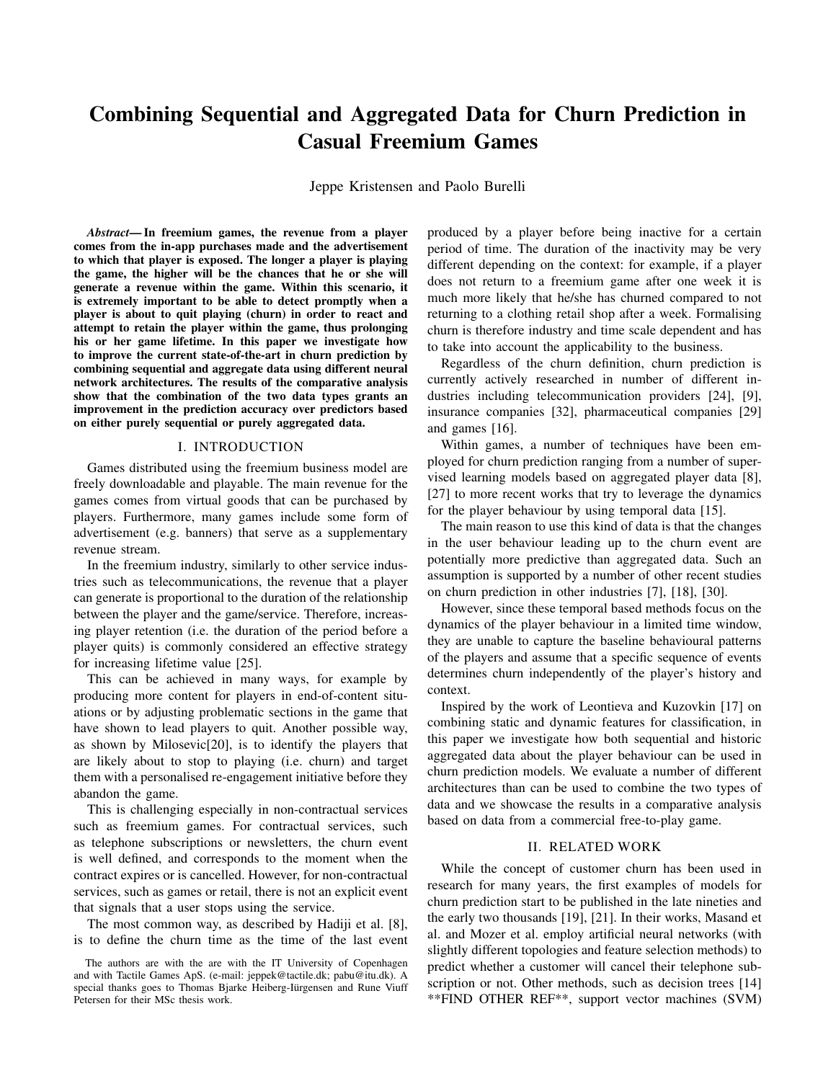# Combining Sequential and Aggregated Data for Churn Prediction in Casual Freemium Games

Jeppe Kristensen and Paolo Burelli

*Abstract*— In freemium games, the revenue from a player comes from the in-app purchases made and the advertisement to which that player is exposed. The longer a player is playing the game, the higher will be the chances that he or she will generate a revenue within the game. Within this scenario, it is extremely important to be able to detect promptly when a player is about to quit playing (churn) in order to react and attempt to retain the player within the game, thus prolonging his or her game lifetime. In this paper we investigate how to improve the current state-of-the-art in churn prediction by combining sequential and aggregate data using different neural network architectures. The results of the comparative analysis show that the combination of the two data types grants an improvement in the prediction accuracy over predictors based on either purely sequential or purely aggregated data.

#### I. INTRODUCTION

Games distributed using the freemium business model are freely downloadable and playable. The main revenue for the games comes from virtual goods that can be purchased by players. Furthermore, many games include some form of advertisement (e.g. banners) that serve as a supplementary revenue stream.

In the freemium industry, similarly to other service industries such as telecommunications, the revenue that a player can generate is proportional to the duration of the relationship between the player and the game/service. Therefore, increasing player retention (i.e. the duration of the period before a player quits) is commonly considered an effective strategy for increasing lifetime value [25].

This can be achieved in many ways, for example by producing more content for players in end-of-content situations or by adjusting problematic sections in the game that have shown to lead players to quit. Another possible way, as shown by Milosevic[20], is to identify the players that are likely about to stop to playing (i.e. churn) and target them with a personalised re-engagement initiative before they abandon the game.

This is challenging especially in non-contractual services such as freemium games. For contractual services, such as telephone subscriptions or newsletters, the churn event is well defined, and corresponds to the moment when the contract expires or is cancelled. However, for non-contractual services, such as games or retail, there is not an explicit event that signals that a user stops using the service.

The most common way, as described by Hadiji et al. [8], is to define the churn time as the time of the last event produced by a player before being inactive for a certain period of time. The duration of the inactivity may be very different depending on the context: for example, if a player does not return to a freemium game after one week it is much more likely that he/she has churned compared to not returning to a clothing retail shop after a week. Formalising churn is therefore industry and time scale dependent and has to take into account the applicability to the business.

Regardless of the churn definition, churn prediction is currently actively researched in number of different industries including telecommunication providers [24], [9], insurance companies [32], pharmaceutical companies [29] and games [16].

Within games, a number of techniques have been employed for churn prediction ranging from a number of supervised learning models based on aggregated player data [8], [27] to more recent works that try to leverage the dynamics for the player behaviour by using temporal data [15].

The main reason to use this kind of data is that the changes in the user behaviour leading up to the churn event are potentially more predictive than aggregated data. Such an assumption is supported by a number of other recent studies on churn prediction in other industries [7], [18], [30].

However, since these temporal based methods focus on the dynamics of the player behaviour in a limited time window, they are unable to capture the baseline behavioural patterns of the players and assume that a specific sequence of events determines churn independently of the player's history and context.

Inspired by the work of Leontieva and Kuzovkin [17] on combining static and dynamic features for classification, in this paper we investigate how both sequential and historic aggregated data about the player behaviour can be used in churn prediction models. We evaluate a number of different architectures than can be used to combine the two types of data and we showcase the results in a comparative analysis based on data from a commercial free-to-play game.

# II. RELATED WORK

While the concept of customer churn has been used in research for many years, the first examples of models for churn prediction start to be published in the late nineties and the early two thousands [19], [21]. In their works, Masand et al. and Mozer et al. employ artificial neural networks (with slightly different topologies and feature selection methods) to predict whether a customer will cancel their telephone subscription or not. Other methods, such as decision trees [14] \*\*FIND OTHER REF\*\*, support vector machines (SVM)

The authors are with the are with the IT University of Copenhagen and with Tactile Games ApS. (e-mail: jeppek@tactile.dk; pabu@itu.dk). A special thanks goes to Thomas Bjarke Heiberg-Iürgensen and Rune Viuff Petersen for their MSc thesis work.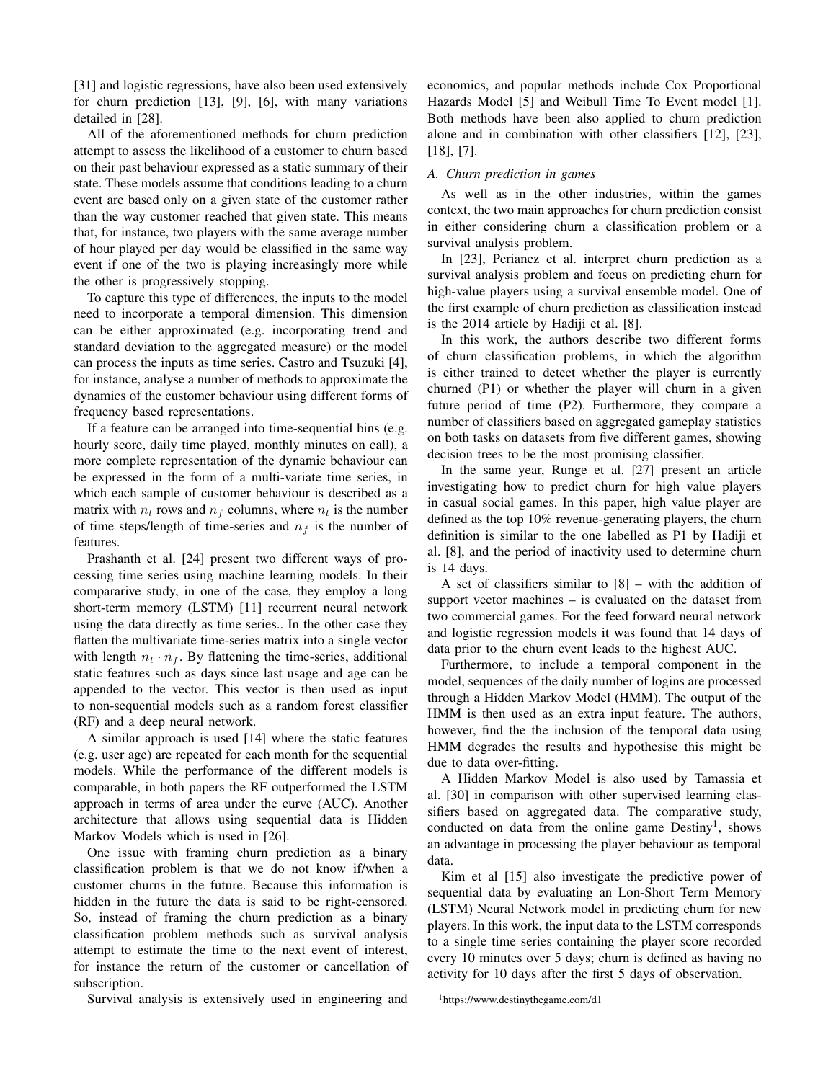[31] and logistic regressions, have also been used extensively for churn prediction [13], [9], [6], with many variations detailed in [28].

All of the aforementioned methods for churn prediction attempt to assess the likelihood of a customer to churn based on their past behaviour expressed as a static summary of their state. These models assume that conditions leading to a churn event are based only on a given state of the customer rather than the way customer reached that given state. This means that, for instance, two players with the same average number of hour played per day would be classified in the same way event if one of the two is playing increasingly more while the other is progressively stopping.

To capture this type of differences, the inputs to the model need to incorporate a temporal dimension. This dimension can be either approximated (e.g. incorporating trend and standard deviation to the aggregated measure) or the model can process the inputs as time series. Castro and Tsuzuki [4], for instance, analyse a number of methods to approximate the dynamics of the customer behaviour using different forms of frequency based representations.

If a feature can be arranged into time-sequential bins (e.g. hourly score, daily time played, monthly minutes on call), a more complete representation of the dynamic behaviour can be expressed in the form of a multi-variate time series, in which each sample of customer behaviour is described as a matrix with  $n_t$  rows and  $n_f$  columns, where  $n_t$  is the number of time steps/length of time-series and  $n_f$  is the number of features.

Prashanth et al. [24] present two different ways of processing time series using machine learning models. In their compararive study, in one of the case, they employ a long short-term memory (LSTM) [11] recurrent neural network using the data directly as time series.. In the other case they flatten the multivariate time-series matrix into a single vector with length  $n_t \cdot n_f$ . By flattening the time-series, additional static features such as days since last usage and age can be appended to the vector. This vector is then used as input to non-sequential models such as a random forest classifier (RF) and a deep neural network.

A similar approach is used [14] where the static features (e.g. user age) are repeated for each month for the sequential models. While the performance of the different models is comparable, in both papers the RF outperformed the LSTM approach in terms of area under the curve (AUC). Another architecture that allows using sequential data is Hidden Markov Models which is used in [26].

One issue with framing churn prediction as a binary classification problem is that we do not know if/when a customer churns in the future. Because this information is hidden in the future the data is said to be right-censored. So, instead of framing the churn prediction as a binary classification problem methods such as survival analysis attempt to estimate the time to the next event of interest, for instance the return of the customer or cancellation of subscription.

Survival analysis is extensively used in engineering and

economics, and popular methods include Cox Proportional Hazards Model [5] and Weibull Time To Event model [1]. Both methods have been also applied to churn prediction alone and in combination with other classifiers [12], [23], [18], [7].

#### *A. Churn prediction in games*

As well as in the other industries, within the games context, the two main approaches for churn prediction consist in either considering churn a classification problem or a survival analysis problem.

In [23], Perianez et al. interpret churn prediction as a survival analysis problem and focus on predicting churn for high-value players using a survival ensemble model. One of the first example of churn prediction as classification instead is the 2014 article by Hadiji et al. [8].

In this work, the authors describe two different forms of churn classification problems, in which the algorithm is either trained to detect whether the player is currently churned (P1) or whether the player will churn in a given future period of time (P2). Furthermore, they compare a number of classifiers based on aggregated gameplay statistics on both tasks on datasets from five different games, showing decision trees to be the most promising classifier.

In the same year, Runge et al. [27] present an article investigating how to predict churn for high value players in casual social games. In this paper, high value player are defined as the top 10% revenue-generating players, the churn definition is similar to the one labelled as P1 by Hadiji et al. [8], and the period of inactivity used to determine churn is 14 days.

A set of classifiers similar to [8] – with the addition of support vector machines – is evaluated on the dataset from two commercial games. For the feed forward neural network and logistic regression models it was found that 14 days of data prior to the churn event leads to the highest AUC.

Furthermore, to include a temporal component in the model, sequences of the daily number of logins are processed through a Hidden Markov Model (HMM). The output of the HMM is then used as an extra input feature. The authors, however, find the the inclusion of the temporal data using HMM degrades the results and hypothesise this might be due to data over-fitting.

A Hidden Markov Model is also used by Tamassia et al. [30] in comparison with other supervised learning classifiers based on aggregated data. The comparative study, conducted on data from the online game  $Destiny<sup>1</sup>$ , shows an advantage in processing the player behaviour as temporal data.

Kim et al [15] also investigate the predictive power of sequential data by evaluating an Lon-Short Term Memory (LSTM) Neural Network model in predicting churn for new players. In this work, the input data to the LSTM corresponds to a single time series containing the player score recorded every 10 minutes over 5 days; churn is defined as having no activity for 10 days after the first 5 days of observation.

<sup>1</sup>https://www.destinythegame.com/d1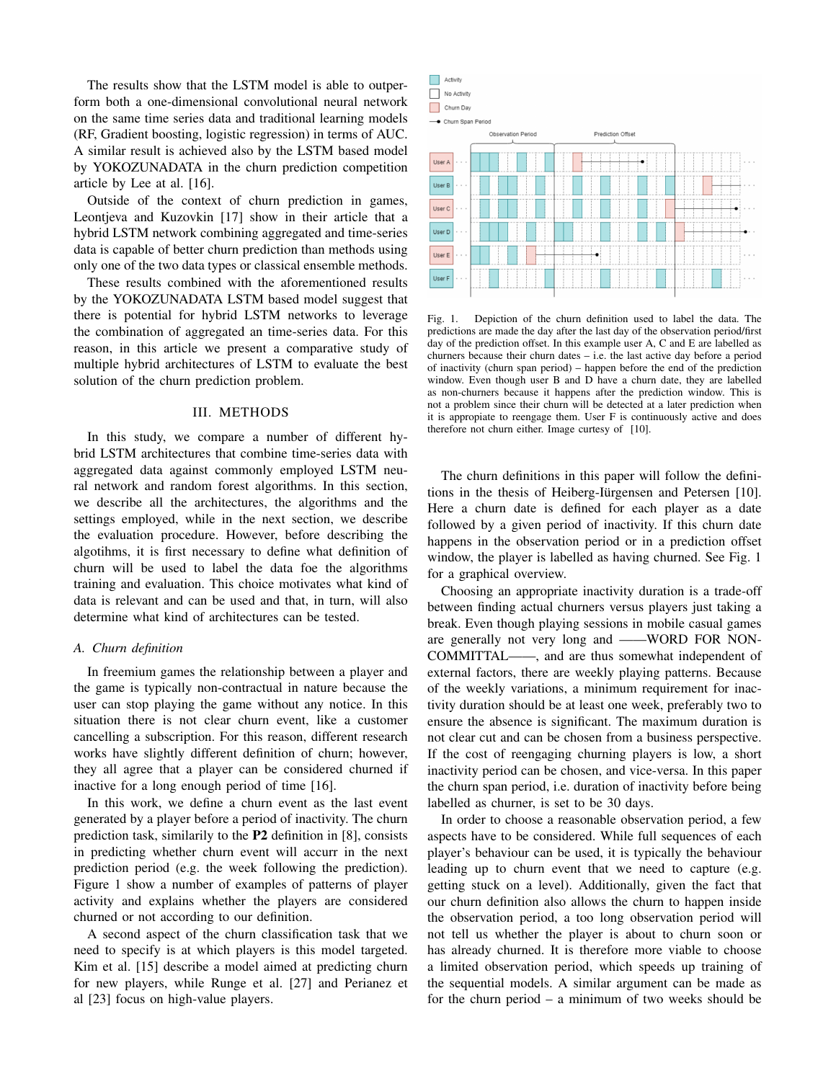The results show that the LSTM model is able to outperform both a one-dimensional convolutional neural network on the same time series data and traditional learning models (RF, Gradient boosting, logistic regression) in terms of AUC. A similar result is achieved also by the LSTM based model by YOKOZUNADATA in the churn prediction competition article by Lee at al. [16].

Outside of the context of churn prediction in games, Leontjeva and Kuzovkin [17] show in their article that a hybrid LSTM network combining aggregated and time-series data is capable of better churn prediction than methods using only one of the two data types or classical ensemble methods.

These results combined with the aforementioned results by the YOKOZUNADATA LSTM based model suggest that there is potential for hybrid LSTM networks to leverage the combination of aggregated an time-series data. For this reason, in this article we present a comparative study of multiple hybrid architectures of LSTM to evaluate the best solution of the churn prediction problem.

## III. METHODS

In this study, we compare a number of different hybrid LSTM architectures that combine time-series data with aggregated data against commonly employed LSTM neural network and random forest algorithms. In this section, we describe all the architectures, the algorithms and the settings employed, while in the next section, we describe the evaluation procedure. However, before describing the algotihms, it is first necessary to define what definition of churn will be used to label the data foe the algorithms training and evaluation. This choice motivates what kind of data is relevant and can be used and that, in turn, will also determine what kind of architectures can be tested.

### *A. Churn definition*

In freemium games the relationship between a player and the game is typically non-contractual in nature because the user can stop playing the game without any notice. In this situation there is not clear churn event, like a customer cancelling a subscription. For this reason, different research works have slightly different definition of churn; however, they all agree that a player can be considered churned if inactive for a long enough period of time [16].

In this work, we define a churn event as the last event generated by a player before a period of inactivity. The churn prediction task, similarily to the P2 definition in [8], consists in predicting whether churn event will accurr in the next prediction period (e.g. the week following the prediction). Figure 1 show a number of examples of patterns of player activity and explains whether the players are considered churned or not according to our definition.

A second aspect of the churn classification task that we need to specify is at which players is this model targeted. Kim et al. [15] describe a model aimed at predicting churn for new players, while Runge et al. [27] and Perianez et al [23] focus on high-value players.





Fig. 1. Depiction of the churn definition used to label the data. The predictions are made the day after the last day of the observation period/first day of the prediction offset. In this example user A, C and E are labelled as churners because their churn dates – i.e. the last active day before a period of inactivity (churn span period) – happen before the end of the prediction window. Even though user B and D have a churn date, they are labelled as non-churners because it happens after the prediction window. This is not a problem since their churn will be detected at a later prediction when it is appropiate to reengage them. User F is continuously active and does therefore not churn either. Image curtesy of [10].

The churn definitions in this paper will follow the definitions in the thesis of Heiberg-Iürgensen and Petersen [10]. Here a churn date is defined for each player as a date followed by a given period of inactivity. If this churn date happens in the observation period or in a prediction offset window, the player is labelled as having churned. See Fig. 1 for a graphical overview.

Choosing an appropriate inactivity duration is a trade-off between finding actual churners versus players just taking a break. Even though playing sessions in mobile casual games are generally not very long and ——WORD FOR NON-COMMITTAL——, and are thus somewhat independent of external factors, there are weekly playing patterns. Because of the weekly variations, a minimum requirement for inactivity duration should be at least one week, preferably two to ensure the absence is significant. The maximum duration is not clear cut and can be chosen from a business perspective. If the cost of reengaging churning players is low, a short inactivity period can be chosen, and vice-versa. In this paper the churn span period, i.e. duration of inactivity before being labelled as churner, is set to be 30 days.

In order to choose a reasonable observation period, a few aspects have to be considered. While full sequences of each player's behaviour can be used, it is typically the behaviour leading up to churn event that we need to capture (e.g. getting stuck on a level). Additionally, given the fact that our churn definition also allows the churn to happen inside the observation period, a too long observation period will not tell us whether the player is about to churn soon or has already churned. It is therefore more viable to choose a limited observation period, which speeds up training of the sequential models. A similar argument can be made as for the churn period – a minimum of two weeks should be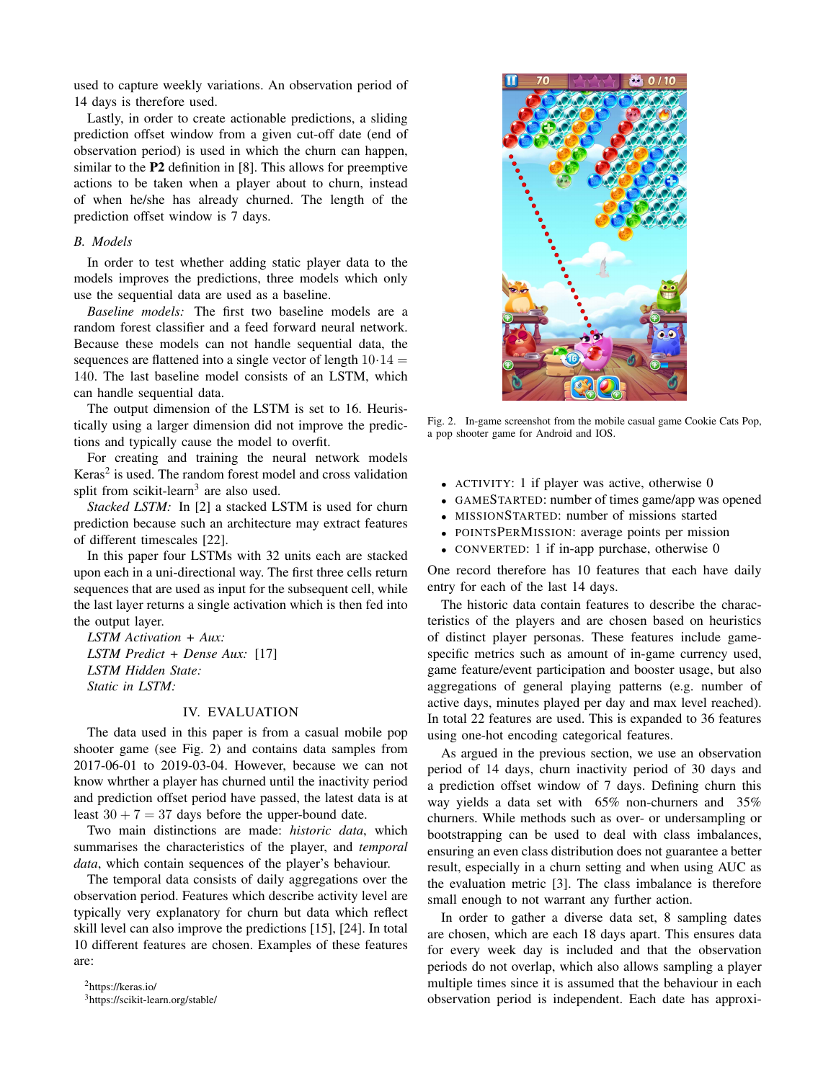used to capture weekly variations. An observation period of 14 days is therefore used.

Lastly, in order to create actionable predictions, a sliding prediction offset window from a given cut-off date (end of observation period) is used in which the churn can happen, similar to the P2 definition in [8]. This allows for preemptive actions to be taken when a player about to churn, instead of when he/she has already churned. The length of the prediction offset window is 7 days.

## *B. Models*

In order to test whether adding static player data to the models improves the predictions, three models which only use the sequential data are used as a baseline.

*Baseline models:* The first two baseline models are a random forest classifier and a feed forward neural network. Because these models can not handle sequential data, the sequences are flattened into a single vector of length  $10.14 =$ 140. The last baseline model consists of an LSTM, which can handle sequential data.

The output dimension of the LSTM is set to 16. Heuristically using a larger dimension did not improve the predictions and typically cause the model to overfit.

For creating and training the neural network models Keras $2$  is used. The random forest model and cross validation split from scikit-learn<sup>3</sup> are also used.

*Stacked LSTM:* In [2] a stacked LSTM is used for churn prediction because such an architecture may extract features of different timescales [22].

In this paper four LSTMs with 32 units each are stacked upon each in a uni-directional way. The first three cells return sequences that are used as input for the subsequent cell, while the last layer returns a single activation which is then fed into the output layer.

*LSTM Activation + Aux: LSTM Predict + Dense Aux:* [17] *LSTM Hidden State: Static in LSTM:*

# IV. EVALUATION

The data used in this paper is from a casual mobile pop shooter game (see Fig. 2) and contains data samples from 2017-06-01 to 2019-03-04. However, because we can not know whrther a player has churned until the inactivity period and prediction offset period have passed, the latest data is at least  $30 + 7 = 37$  days before the upper-bound date.

Two main distinctions are made: *historic data*, which summarises the characteristics of the player, and *temporal data*, which contain sequences of the player's behaviour.

The temporal data consists of daily aggregations over the observation period. Features which describe activity level are typically very explanatory for churn but data which reflect skill level can also improve the predictions [15], [24]. In total 10 different features are chosen. Examples of these features are:



Fig. 2. In-game screenshot from the mobile casual game Cookie Cats Pop, a pop shooter game for Android and IOS.

- ACTIVITY: 1 if player was active, otherwise 0
- GAMESTARTED: number of times game/app was opened
- MISSIONSTARTED: number of missions started
- POINTSPERMISSION: average points per mission
- CONVERTED: 1 if in-app purchase, otherwise 0

One record therefore has 10 features that each have daily entry for each of the last 14 days.

The historic data contain features to describe the characteristics of the players and are chosen based on heuristics of distinct player personas. These features include gamespecific metrics such as amount of in-game currency used, game feature/event participation and booster usage, but also aggregations of general playing patterns (e.g. number of active days, minutes played per day and max level reached). In total 22 features are used. This is expanded to 36 features using one-hot encoding categorical features.

As argued in the previous section, we use an observation period of 14 days, churn inactivity period of 30 days and a prediction offset window of 7 days. Defining churn this way yields a data set with 65% non-churners and 35% churners. While methods such as over- or undersampling or bootstrapping can be used to deal with class imbalances, ensuring an even class distribution does not guarantee a better result, especially in a churn setting and when using AUC as the evaluation metric [3]. The class imbalance is therefore small enough to not warrant any further action.

In order to gather a diverse data set, 8 sampling dates are chosen, which are each 18 days apart. This ensures data for every week day is included and that the observation periods do not overlap, which also allows sampling a player multiple times since it is assumed that the behaviour in each observation period is independent. Each date has approxi-

<sup>2</sup>https://keras.io/ <sup>3</sup>https://scikit-learn.org/stable/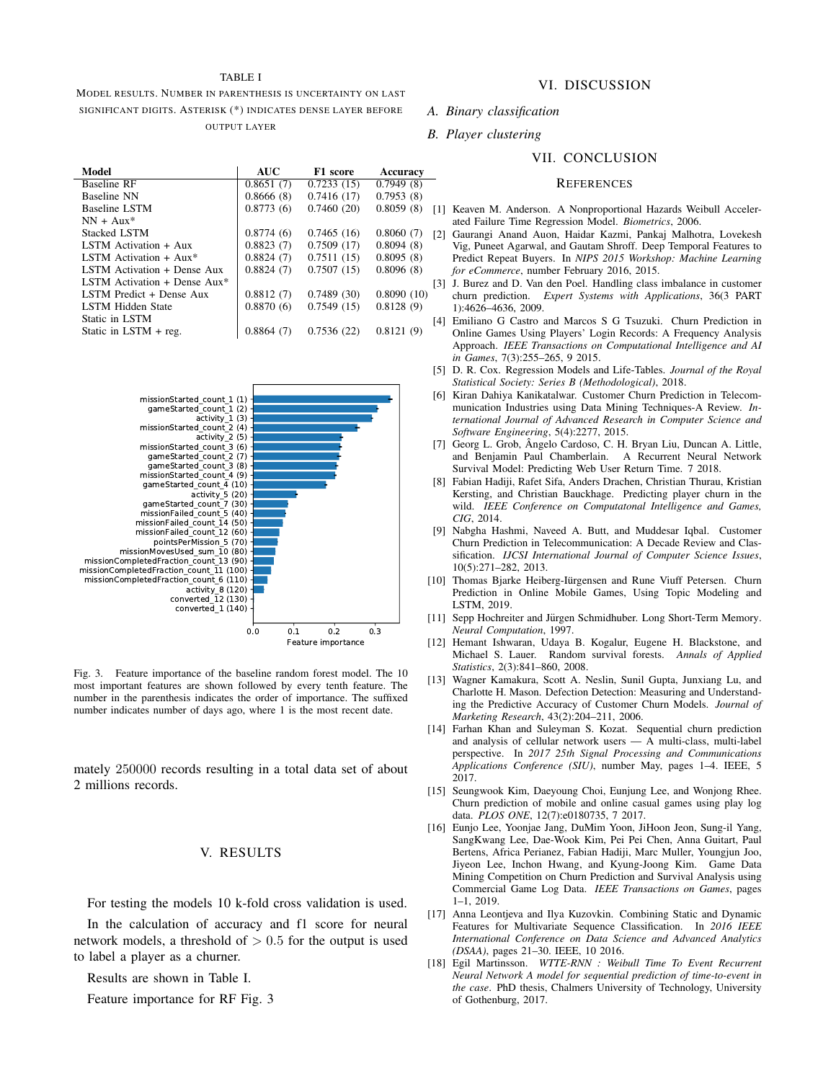#### TABLE I

MODEL RESULTS. NUMBER IN PARENTHESIS IS UNCERTAINTY ON LAST SIGNIFICANT DIGITS. ASTERISK (\*) INDICATES DENSE LAYER BEFORE OUTPUT LAYER

| Model                              | <b>AUC</b> | F1 score   | Accuracy   |
|------------------------------------|------------|------------|------------|
| <b>Baseline RF</b>                 | 0.8651(7)  | 0.7233(15) | 0.7949(8)  |
| Baseline NN                        | 0.8666(8)  | 0.7416(17) | 0.7953(8)  |
| Baseline LSTM                      | 0.8773(6)  | 0.7460(20) | 0.8059(8)  |
| $NN + Aux*$                        |            |            |            |
| <b>Stacked LSTM</b>                | 0.8774(6)  | 0.7465(16) | 0.8060(7)  |
| <b>LSTM</b> Activation + Aux       | 0.8823(7)  | 0.7509(17) | 0.8094(8)  |
| LSTM Activation $+$ Aux*           | 0.8824(7)  | 0.7511(15) | 0.8095(8)  |
| <b>LSTM</b> Activation + Dense Aux | 0.8824(7)  | 0.7507(15) | 0.8096(8)  |
| LSTM Activation + Dense $Aux^*$    |            |            |            |
| LSTM Predict + Dense Aux           | 0.8812(7)  | 0.7489(30) | 0.8090(10) |
| LSTM Hidden State                  | 0.8870(6)  | 0.7549(15) | 0.8128(9)  |
| Static in LSTM                     |            |            |            |
| Static in $LSTM + reg$ .           | 0.8864(7)  | 0.7536(22) | 0.8121(9)  |



Fig. 3. Feature importance of the baseline random forest model. The 10 most important features are shown followed by every tenth feature. The number in the parenthesis indicates the order of importance. The suffixed number indicates number of days ago, where 1 is the most recent date.

mately 250000 records resulting in a total data set of about 2 millions records.

### V. RESULTS

For testing the models 10 k-fold cross validation is used.

In the calculation of accuracy and f1 score for neural network models, a threshold of  $> 0.5$  for the output is used to label a player as a churner.

Results are shown in Table I.

Feature importance for RF Fig. 3

#### VI. DISCUSSION

## *A. Binary classification*

#### *B. Player clustering*

## VII. CONCLUSION

#### **REFERENCES**

- [1] Keaven M. Anderson. A Nonproportional Hazards Weibull Accelerated Failure Time Regression Model. *Biometrics*, 2006.
- [2] Gaurangi Anand Auon, Haidar Kazmi, Pankaj Malhotra, Lovekesh Vig, Puneet Agarwal, and Gautam Shroff. Deep Temporal Features to Predict Repeat Buyers. In *NIPS 2015 Workshop: Machine Learning for eCommerce*, number February 2016, 2015.
- [3] J. Burez and D. Van den Poel. Handling class imbalance in customer churn prediction. *Expert Systems with Applications*, 36(3 PART 1):4626–4636, 2009.
- [4] Emiliano G Castro and Marcos S G Tsuzuki. Churn Prediction in Online Games Using Players' Login Records: A Frequency Analysis Approach. *IEEE Transactions on Computational Intelligence and AI in Games*, 7(3):255–265, 9 2015.
- [5] D. R. Cox. Regression Models and Life-Tables. *Journal of the Royal Statistical Society: Series B (Methodological)*, 2018.
- [6] Kiran Dahiya Kanikatalwar. Customer Churn Prediction in Telecommunication Industries using Data Mining Techniques-A Review. *International Journal of Advanced Research in Computer Science and Software Engineering*, 5(4):2277, 2015.
- [7] Georg L. Grob, Ângelo Cardoso, C. H. Bryan Liu, Duncan A. Little, and Benjamin Paul Chamberlain. A Recurrent Neural Network Survival Model: Predicting Web User Return Time. 7 2018.
- [8] Fabian Hadiji, Rafet Sifa, Anders Drachen, Christian Thurau, Kristian Kersting, and Christian Bauckhage. Predicting player churn in the wild. *IEEE Conference on Computatonal Intelligence and Games, CIG*, 2014.
- [9] Nabgha Hashmi, Naveed A. Butt, and Muddesar Iqbal. Customer Churn Prediction in Telecommunication: A Decade Review and Classification. *IJCSI International Journal of Computer Science Issues*, 10(5):271–282, 2013.
- [10] Thomas Bjarke Heiberg-Iürgensen and Rune Viuff Petersen. Churn Prediction in Online Mobile Games, Using Topic Modeling and LSTM, 2019.
- [11] Sepp Hochreiter and Jürgen Schmidhuber. Long Short-Term Memory. *Neural Computation*, 1997.
- [12] Hemant Ishwaran, Udaya B. Kogalur, Eugene H. Blackstone, and Michael S. Lauer. Random survival forests. *Annals of Applied Statistics*, 2(3):841–860, 2008.
- [13] Wagner Kamakura, Scott A. Neslin, Sunil Gupta, Junxiang Lu, and Charlotte H. Mason. Defection Detection: Measuring and Understanding the Predictive Accuracy of Customer Churn Models. *Journal of Marketing Research*, 43(2):204–211, 2006.
- [14] Farhan Khan and Suleyman S. Kozat. Sequential churn prediction and analysis of cellular network users — A multi-class, multi-label perspective. In *2017 25th Signal Processing and Communications Applications Conference (SIU)*, number May, pages 1–4. IEEE, 5 2017.
- [15] Seungwook Kim, Daeyoung Choi, Eunjung Lee, and Wonjong Rhee. Churn prediction of mobile and online casual games using play log data. *PLOS ONE*, 12(7):e0180735, 7 2017.
- [16] Eunjo Lee, Yoonjae Jang, DuMim Yoon, JiHoon Jeon, Sung-il Yang, SangKwang Lee, Dae-Wook Kim, Pei Pei Chen, Anna Guitart, Paul Bertens, Africa Perianez, Fabian Hadiji, Marc Muller, Youngjun Joo, Jiyeon Lee, Inchon Hwang, and Kyung-Joong Kim. Game Data Mining Competition on Churn Prediction and Survival Analysis using Commercial Game Log Data. *IEEE Transactions on Games*, pages 1–1, 2019.
- [17] Anna Leontjeva and Ilya Kuzovkin. Combining Static and Dynamic Features for Multivariate Sequence Classification. In *2016 IEEE International Conference on Data Science and Advanced Analytics (DSAA)*, pages 21–30. IEEE, 10 2016.
- [18] Egil Martinsson. *WTTE-RNN : Weibull Time To Event Recurrent Neural Network A model for sequential prediction of time-to-event in the case*. PhD thesis, Chalmers University of Technology, University of Gothenburg, 2017.